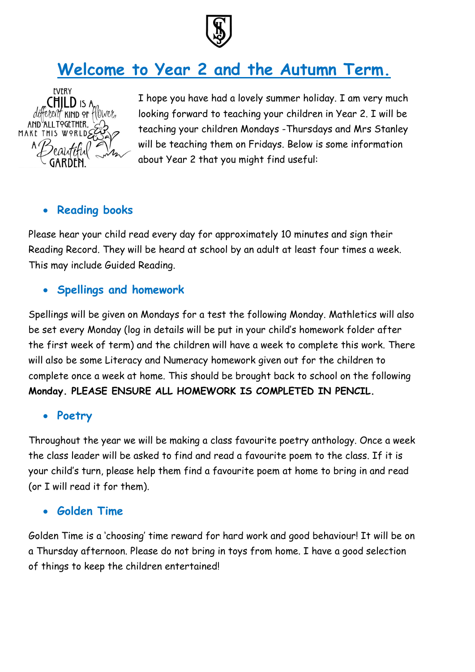

# **Welcome to Year 2 and the Autumn Term.**



I hope you have had a lovely summer holiday. I am very much looking forward to teaching your children in Year 2. I will be teaching your children Mondays -Thursdays and Mrs Stanley will be teaching them on Fridays. Below is some information about Year 2 that you might find useful:

### **Reading books**

Please hear your child read every day for approximately 10 minutes and sign their Reading Record. They will be heard at school by an adult at least four times a week. This may include Guided Reading.

#### **Spellings and homework**

Spellings will be given on Mondays for a test the following Monday. Mathletics will also be set every Monday (log in details will be put in your child's homework folder after the first week of term) and the children will have a week to complete this work. There will also be some Literacy and Numeracy homework given out for the children to complete once a week at home. This should be brought back to school on the following **Monday. PLEASE ENSURE ALL HOMEWORK IS COMPLETED IN PENCIL.**

#### **Poetry**

Throughout the year we will be making a class favourite poetry anthology. Once a week the class leader will be asked to find and read a favourite poem to the class. If it is your child's turn, please help them find a favourite poem at home to bring in and read (or I will read it for them).

#### **Golden Time**

Golden Time is a 'choosing' time reward for hard work and good behaviour! It will be on a Thursday afternoon. Please do not bring in toys from home. I have a good selection of things to keep the children entertained!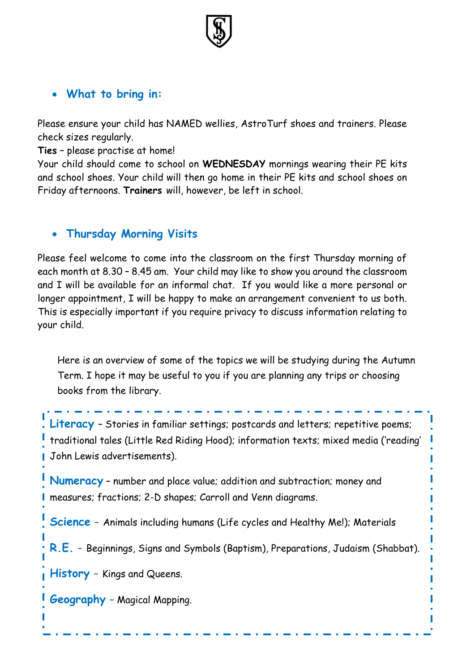

## **What to bring in:**

Please ensure your child has NAMED wellies, AstroTurf shoes and trainers. Please check sizes regularly.

**Ties** – please practise at home!

and school shoes. Your child will then go home in their PE kits and school shoes on Your child should come to school on **WEDNESDAY** mornings wearing their PE kits Friday afternoons. **Trainers** will, however, be left in school.

#### **Thursday Morning Visits**

Please feel welcome to come into the classroom on the first Thursday morning of each month at 8.30 – 8.45 am. Your child may like to show you around the classroom and I will be available for an informal chat. If you would like a more personal or longer appointment, I will be happy to make an arrangement convenient to us both. This is especially important if you require privacy to discuss information relating to your child.

Here is an overview of some of the topics we will be studying during the Autumn Term. I hope it may be useful to you if you are planning any trips or choosing books from the library.

Literacy - Stories in familiar settings; postcards and letters; repetitive poems; traditional tales (Little Red Riding Hood); information texts; mixed media ('reading' John Lewis advertisements).

**Numeracy** – number and place value; addition and subtraction; money and measures; fractions; 2-D shapes; Carroll and Venn diagrams.

**Science –** Animals including humans (Life cycles and Healthy Me!); Materials

**R.E. –** Beginnings, Signs and Symbols (Baptism), Preparations, Judaism (Shabbat).

**History –** Kings and Queens.

**Geography –** Magical Mapping.